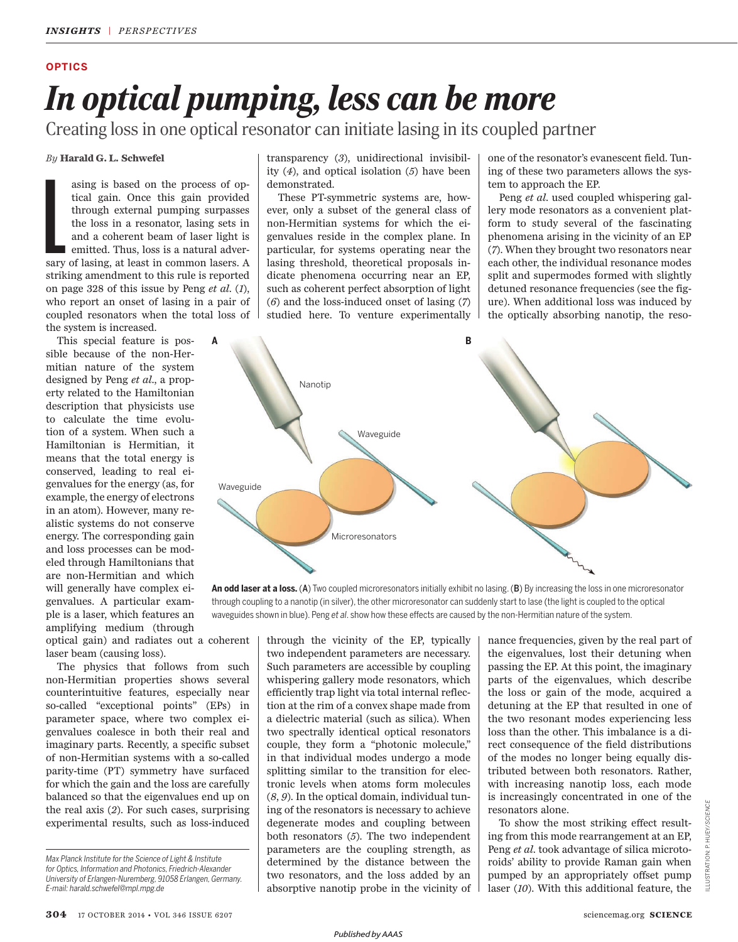### **OPTICS**

# *In optical pumping, less can be more*

Creating loss in one optical resonator can initiate lasing in its coupled partner

*By* **Harald G. L. Schwefel** 

Example 1 asing is based on the process of optical gain. Once this gain provided through external pumping surpasses the loss in a resonator, lasing sets in and a coherent beam of laser light is emitted. Thus, loss is a natural adversary of lasing, at least in common lasers. A striking amendment to this rule is reported on page 328 of this issue by Peng  $et$   $al. (1)$ , who report an onset of lasing in a pair of coupled resonators when the total loss of the system is increased.

This special feature is possible because of the non-Hermitian nature of the system designed by Peng *et al*., a property related to the Hamiltonian description that physicists use to calculate the time evolution of a system. When such a Hamiltonian is Hermitian, it means that the total energy is conserved, leading to real eigenvalues for the energy (as, for example, the energy of electrons in an atom). However, many realistic systems do not conserve energy. The corresponding gain and loss processes can be modeled through Hamiltonians that are non-Hermitian and which will generally have complex eigenvalues. A particular example is a laser, which features an amplifying medium (through

optical gain) and radiates out a coherent laser beam (causing loss).

The physics that follows from such non-Hermitian properties shows several counterintuitive features, especially near so-called "exceptional points" (EPs) in parameter space, where two complex eigenvalues coalesce in both their real and imaginary parts. Recently, a specific subset of non-Hermitian systems with a so-called parity-time (PT) symmetry have surfaced for which the gain and the loss are carefully balanced so that the eigenvalues end up on the real axis  $(2)$ . For such cases, surprising experimental results, such as loss-induced transparency (3), unidirectional invisibility  $(4)$ , and optical isolation  $(5)$  have been demonstrated.

These PT-symmetric systems are, however, only a subset of the general class of non-Hermitian systems for which the eigenvalues reside in the complex plane. In particular, for systems operating near the lasing threshold, theoretical proposals indicate phenomena occurring near an EP, such as coherent perfect absorption of light ( *6*) and the loss-induced onset of lasing ( *7*) studied here. To venture experimentally one of the resonator's evanescent field. Tuning of these two parameters allows the system to approach the EP.

Peng *et al*. used coupled whispering gallery mode resonators as a convenient platform to study several of the fascinating phenomena arising in the vicinity of an EP ( *7*). When they brought two resonators near each other, the individual resonance modes split and supermodes formed with slightly detuned resonance frequencies (see the figure). When additional loss was induced by the optically absorbing nanotip, the reso-



**An odd laser at a loss.** (A) Two coupled microresonators initially exhibit no lasing. (B) By increasing the loss in one microresonator through coupling to a nanotip (in silver), the other microresonator can suddenly start to lase (the light is coupled to the optical waveguides shown in blue). Peng *et al*. show how these effects are caused by the non-Hermitian nature of the system.

> through the vicinity of the EP, typically two independent parameters are necessary. Such parameters are accessible by coupling whispering gallery mode resonators, which efficiently trap light via total internal reflection at the rim of a convex shape made from a dielectric material (such as silica). When two spectrally identical optical resonators couple, they form a "photonic molecule," in that individual modes undergo a mode splitting similar to the transition for electronic levels when atoms form molecules ( *8*, *9*). In the optical domain, individual tuning of the resonators is necessary to achieve degenerate modes and coupling between both resonators (5). The two independent parameters are the coupling strength, as determined by the distance between the two resonators, and the loss added by an absorptive nanotip probe in the vicinity of

nance frequencies, given by the real part of the eigenvalues, lost their detuning when passing the EP. At this point, the imaginary parts of the eigenvalues, which describe the loss or gain of the mode, acquired a detuning at the EP that resulted in one of the two resonant modes experiencing less loss than the other. This imbalance is a direct consequence of the field distributions of the modes no longer being equally distributed between both resonators. Rather, with increasing nanotip loss, each mode is increasingly concentrated in one of the resonators alone.

To show the most striking effect resulting from this mode rearrangement at an EP, Peng *et al*. took advantage of silica microtoroids' ability to provide Raman gain when pumped by an appropriately offset pump laser (10). With this additional feature, the

*Max Planck Institute for the Science of Light & Institute for Optics, Information and Photonics, Friedrich-Alexander University of Erlangen-Nuremberg, 91058 Erlangen, Germany. E-mail: harald.schwefel@mpl.mpg.de*